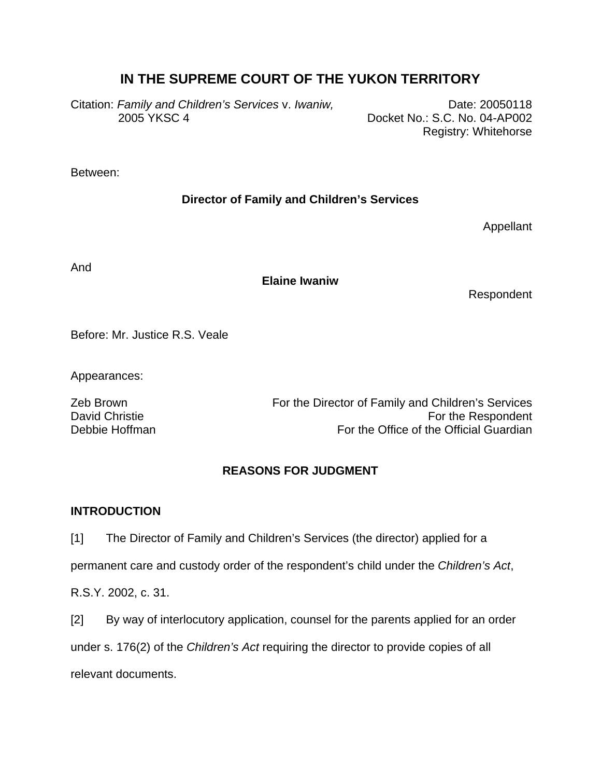# **IN THE SUPREME COURT OF THE YUKON TERRITORY**

Citation: Family and Children's Services v. Iwaniw, The Communication: 20050118 2005 YKSC 4 Docket No.: S.C. No. 04-AP002

Registry: Whitehorse

Between:

# **Director of Family and Children's Services**

Appellant

And

### **Elaine Iwaniw**

Respondent

Before: Mr. Justice R.S. Veale

Appearances:

Zeb Brown **For the Director of Family and Children's Services** David Christie **For the Respondent** Debbie Hoffman **For the Office of the Official Guardian** 

# **REASONS FOR JUDGMENT**

## **INTRODUCTION**

[1] The Director of Family and Children's Services (the director) applied for a

permanent care and custody order of the respondent's child under the *Children's Act*,

R.S.Y. 2002, c. 31.

[2] By way of interlocutory application, counsel for the parents applied for an order under s. 176(2) of the *Children's Act* requiring the director to provide copies of all relevant documents.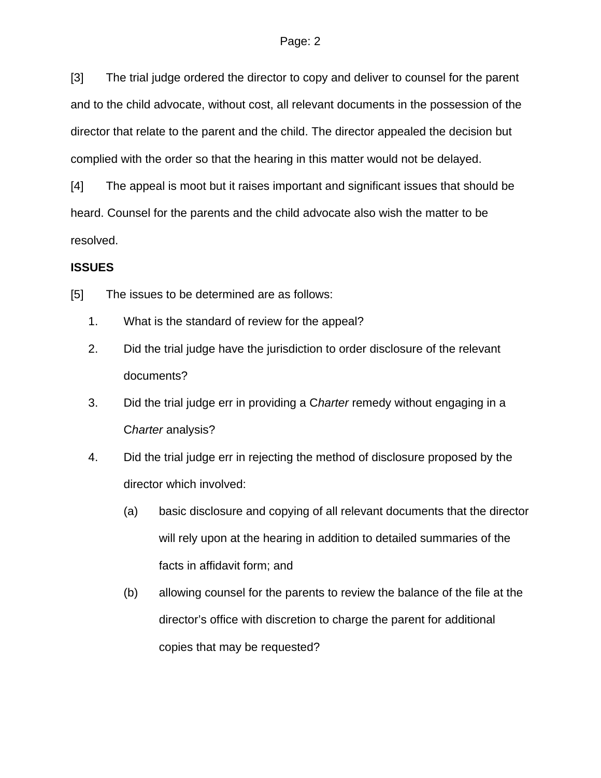[3] The trial judge ordered the director to copy and deliver to counsel for the parent and to the child advocate, without cost, all relevant documents in the possession of the director that relate to the parent and the child. The director appealed the decision but complied with the order so that the hearing in this matter would not be delayed.

[4] The appeal is moot but it raises important and significant issues that should be heard. Counsel for the parents and the child advocate also wish the matter to be resolved.

#### **ISSUES**

[5] The issues to be determined are as follows:

- 1. What is the standard of review for the appeal?
- 2. Did the trial judge have the jurisdiction to order disclosure of the relevant documents?
- 3. Did the trial judge err in providing a C*harter* remedy without engaging in a C*harter* analysis?
- 4. Did the trial judge err in rejecting the method of disclosure proposed by the director which involved:
	- (a) basic disclosure and copying of all relevant documents that the director will rely upon at the hearing in addition to detailed summaries of the facts in affidavit form; and
	- (b) allowing counsel for the parents to review the balance of the file at the director's office with discretion to charge the parent for additional copies that may be requested?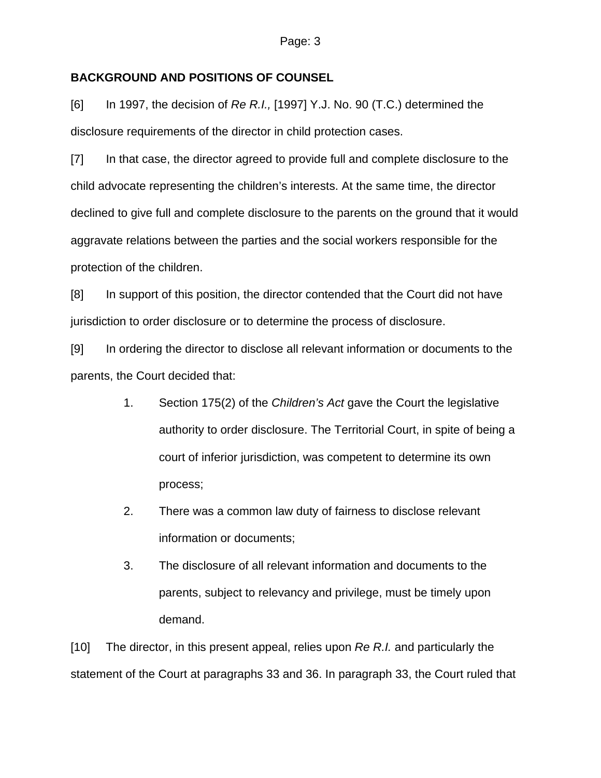#### **BACKGROUND AND POSITIONS OF COUNSEL**

[6] In 1997, the decision of *Re R.I.,* [1997] Y.J. No. 90 (T.C.) determined the disclosure requirements of the director in child protection cases.

[7] In that case, the director agreed to provide full and complete disclosure to the child advocate representing the children's interests. At the same time, the director declined to give full and complete disclosure to the parents on the ground that it would aggravate relations between the parties and the social workers responsible for the protection of the children.

[8] In support of this position, the director contended that the Court did not have jurisdiction to order disclosure or to determine the process of disclosure.

[9] In ordering the director to disclose all relevant information or documents to the parents, the Court decided that:

- 1. Section 175(2) of the *Children's Act* gave the Court the legislative authority to order disclosure. The Territorial Court, in spite of being a court of inferior jurisdiction, was competent to determine its own process;
- 2. There was a common law duty of fairness to disclose relevant information or documents;
- 3. The disclosure of all relevant information and documents to the parents, subject to relevancy and privilege, must be timely upon demand.

[10] The director, in this present appeal, relies upon *Re R.I.* and particularly the statement of the Court at paragraphs 33 and 36. In paragraph 33, the Court ruled that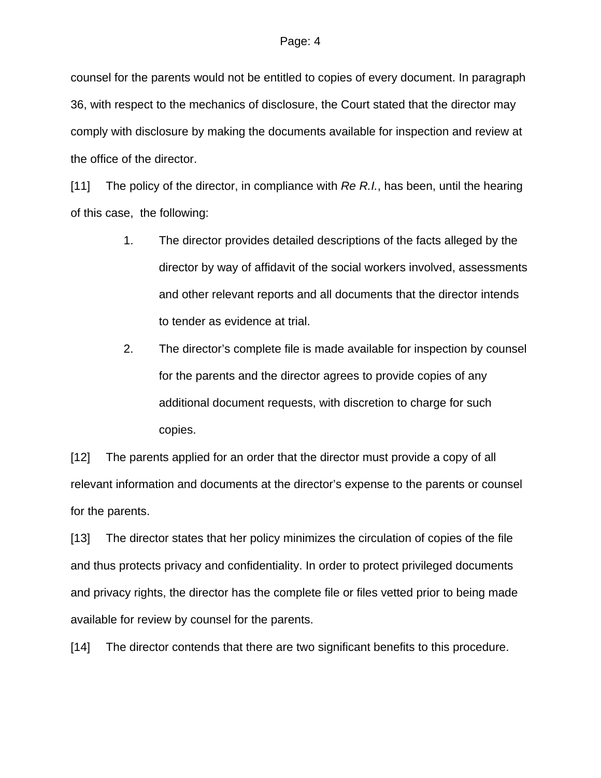counsel for the parents would not be entitled to copies of every document. In paragraph 36, with respect to the mechanics of disclosure, the Court stated that the director may comply with disclosure by making the documents available for inspection and review at the office of the director.

[11] The policy of the director, in compliance with *Re R.I.*, has been, until the hearing of this case, the following:

- 1. The director provides detailed descriptions of the facts alleged by the director by way of affidavit of the social workers involved, assessments and other relevant reports and all documents that the director intends to tender as evidence at trial.
- 2. The director's complete file is made available for inspection by counsel for the parents and the director agrees to provide copies of any additional document requests, with discretion to charge for such copies.

[12] The parents applied for an order that the director must provide a copy of all relevant information and documents at the director's expense to the parents or counsel for the parents.

[13] The director states that her policy minimizes the circulation of copies of the file and thus protects privacy and confidentiality. In order to protect privileged documents and privacy rights, the director has the complete file or files vetted prior to being made available for review by counsel for the parents.

[14] The director contends that there are two significant benefits to this procedure.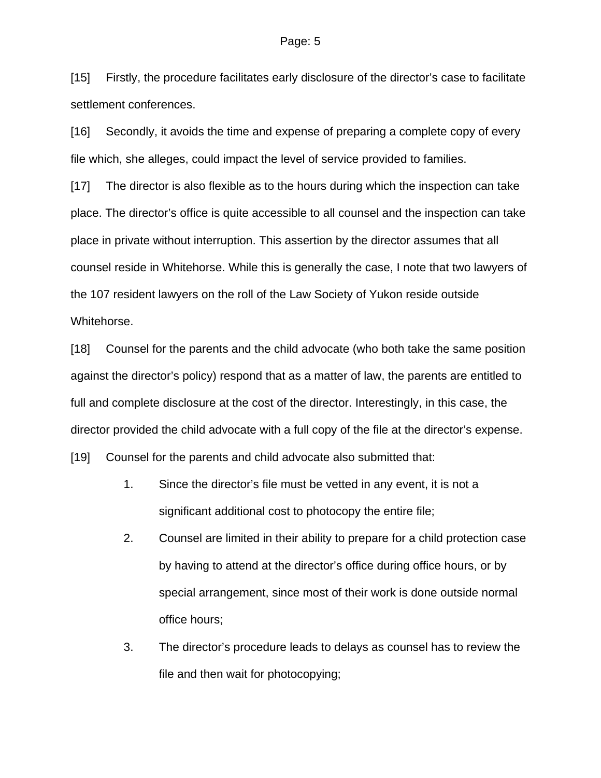[15] Firstly, the procedure facilitates early disclosure of the director's case to facilitate settlement conferences.

[16] Secondly, it avoids the time and expense of preparing a complete copy of every file which, she alleges, could impact the level of service provided to families.

[17] The director is also flexible as to the hours during which the inspection can take place. The director's office is quite accessible to all counsel and the inspection can take place in private without interruption. This assertion by the director assumes that all counsel reside in Whitehorse. While this is generally the case, I note that two lawyers of the 107 resident lawyers on the roll of the Law Society of Yukon reside outside Whitehorse.

[18] Counsel for the parents and the child advocate (who both take the same position against the director's policy) respond that as a matter of law, the parents are entitled to full and complete disclosure at the cost of the director. Interestingly, in this case, the director provided the child advocate with a full copy of the file at the director's expense.

[19] Counsel for the parents and child advocate also submitted that:

- 1. Since the director's file must be vetted in any event, it is not a significant additional cost to photocopy the entire file;
- 2. Counsel are limited in their ability to prepare for a child protection case by having to attend at the director's office during office hours, or by special arrangement, since most of their work is done outside normal office hours;
- 3. The director's procedure leads to delays as counsel has to review the file and then wait for photocopying;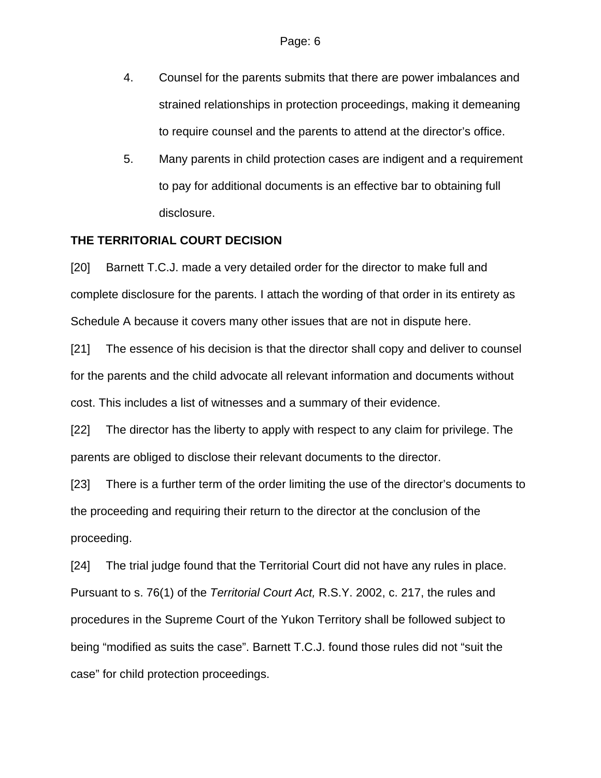- 4. Counsel for the parents submits that there are power imbalances and strained relationships in protection proceedings, making it demeaning to require counsel and the parents to attend at the director's office.
- 5. Many parents in child protection cases are indigent and a requirement to pay for additional documents is an effective bar to obtaining full disclosure.

### **THE TERRITORIAL COURT DECISION**

[20] Barnett T.C.J. made a very detailed order for the director to make full and complete disclosure for the parents. I attach the wording of that order in its entirety as Schedule A because it covers many other issues that are not in dispute here.

[21] The essence of his decision is that the director shall copy and deliver to counsel for the parents and the child advocate all relevant information and documents without cost. This includes a list of witnesses and a summary of their evidence.

[22] The director has the liberty to apply with respect to any claim for privilege. The parents are obliged to disclose their relevant documents to the director.

[23] There is a further term of the order limiting the use of the director's documents to the proceeding and requiring their return to the director at the conclusion of the proceeding.

[24] The trial judge found that the Territorial Court did not have any rules in place. Pursuant to s. 76(1) of the *Territorial Court Act,* R.S.Y. 2002, c. 217, the rules and procedures in the Supreme Court of the Yukon Territory shall be followed subject to being "modified as suits the case". Barnett T.C.J. found those rules did not "suit the case" for child protection proceedings.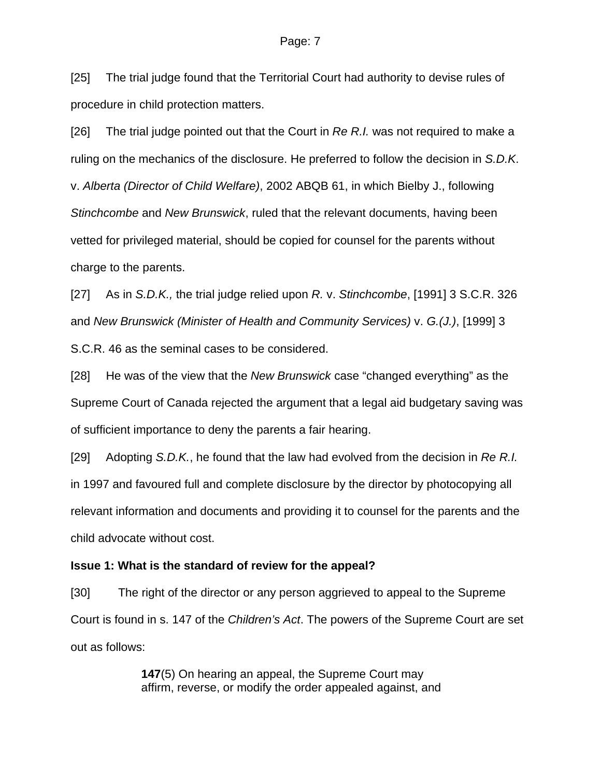[25] The trial judge found that the Territorial Court had authority to devise rules of procedure in child protection matters.

[26] The trial judge pointed out that the Court in *Re R.I.* was not required to make a ruling on the mechanics of the disclosure. He preferred to follow the decision in *S.D.K*. v. *Alberta (Director of Child Welfare)*, 2002 ABQB 61, in which Bielby J., following *Stinchcombe* and *New Brunswick*, ruled that the relevant documents, having been vetted for privileged material, should be copied for counsel for the parents without charge to the parents.

[27] As in *S.D.K.,* the trial judge relied upon *R.* v. *Stinchcombe*, [1991] 3 S.C.R. 326 and *New Brunswick (Minister of Health and Community Services)* v. *G.(J.)*, [1999] 3 S.C.R. 46 as the seminal cases to be considered.

[28] He was of the view that the *New Brunswick* case "changed everything" as the Supreme Court of Canada rejected the argument that a legal aid budgetary saving was of sufficient importance to deny the parents a fair hearing.

[29] Adopting *S.D.K.*, he found that the law had evolved from the decision in *Re R.I.* in 1997 and favoured full and complete disclosure by the director by photocopying all relevant information and documents and providing it to counsel for the parents and the child advocate without cost.

### **Issue 1: What is the standard of review for the appeal?**

[30] The right of the director or any person aggrieved to appeal to the Supreme Court is found in s. 147 of the *Children's Act*. The powers of the Supreme Court are set out as follows:

> **147**(5) On hearing an appeal, the Supreme Court may affirm, reverse, or modify the order appealed against, and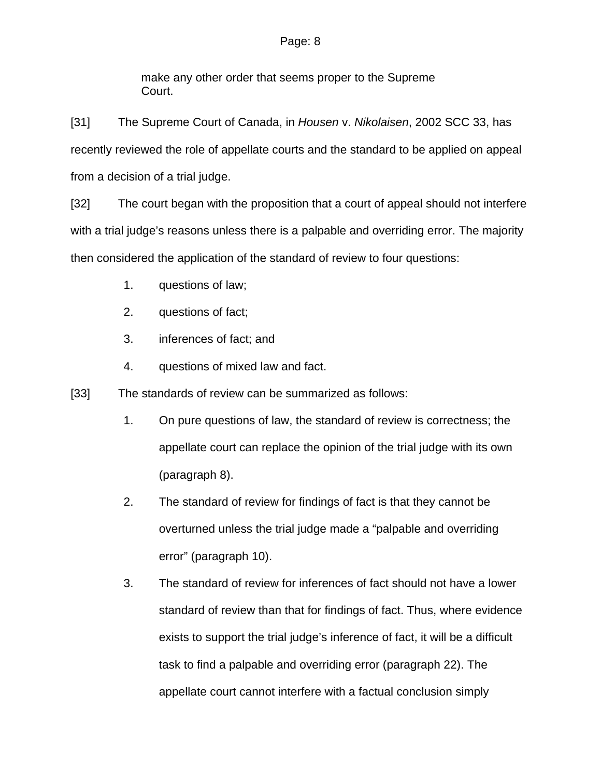make any other order that seems proper to the Supreme Court.

[31] The Supreme Court of Canada, in *Housen* v. *Nikolaisen*, 2002 SCC 33, has recently reviewed the role of appellate courts and the standard to be applied on appeal from a decision of a trial judge.

[32] The court began with the proposition that a court of appeal should not interfere with a trial judge's reasons unless there is a palpable and overriding error. The majority then considered the application of the standard of review to four questions:

- 1. questions of law;
- 2. questions of fact;
- 3. inferences of fact; and
- 4. questions of mixed law and fact.
- [33] The standards of review can be summarized as follows:
	- 1. On pure questions of law, the standard of review is correctness; the appellate court can replace the opinion of the trial judge with its own (paragraph 8).
	- 2. The standard of review for findings of fact is that they cannot be overturned unless the trial judge made a "palpable and overriding error" (paragraph 10).
	- 3. The standard of review for inferences of fact should not have a lower standard of review than that for findings of fact. Thus, where evidence exists to support the trial judge's inference of fact, it will be a difficult task to find a palpable and overriding error (paragraph 22). The appellate court cannot interfere with a factual conclusion simply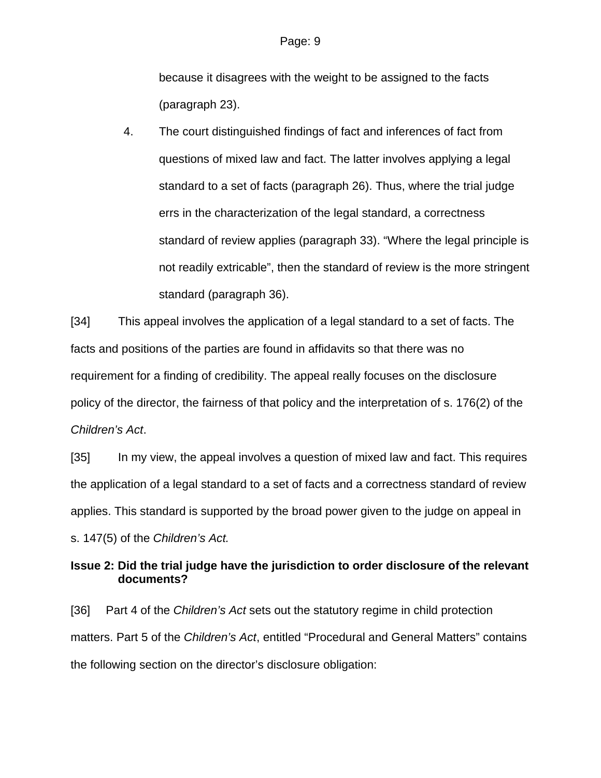because it disagrees with the weight to be assigned to the facts (paragraph 23).

4. The court distinguished findings of fact and inferences of fact from questions of mixed law and fact. The latter involves applying a legal standard to a set of facts (paragraph 26). Thus, where the trial judge errs in the characterization of the legal standard, a correctness standard of review applies (paragraph 33). "Where the legal principle is not readily extricable", then the standard of review is the more stringent standard (paragraph 36).

[34] This appeal involves the application of a legal standard to a set of facts. The facts and positions of the parties are found in affidavits so that there was no requirement for a finding of credibility. The appeal really focuses on the disclosure policy of the director, the fairness of that policy and the interpretation of s. 176(2) of the *Children's Act*.

[35] In my view, the appeal involves a question of mixed law and fact. This requires the application of a legal standard to a set of facts and a correctness standard of review applies. This standard is supported by the broad power given to the judge on appeal in s. 147(5) of the *Children's Act.*

**Issue 2: Did the trial judge have the jurisdiction to order disclosure of the relevant documents?** 

[36] Part 4 of the *Children's Act* sets out the statutory regime in child protection matters. Part 5 of the *Children's Act*, entitled "Procedural and General Matters" contains the following section on the director's disclosure obligation: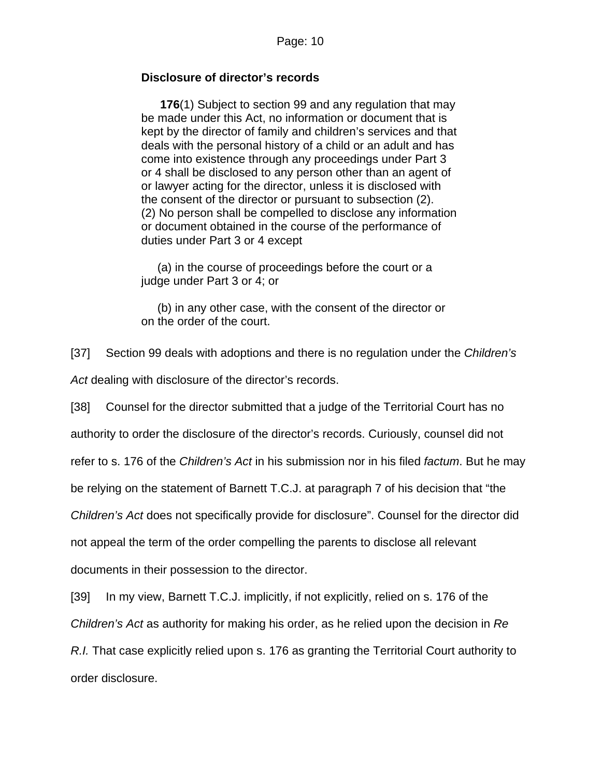## **Disclosure of director's records**

 **176**(1) Subject to section 99 and any regulation that may be made under this Act, no information or document that is kept by the director of family and children's services and that deals with the personal history of a child or an adult and has come into existence through any proceedings under Part 3 or 4 shall be disclosed to any person other than an agent of or lawyer acting for the director, unless it is disclosed with the consent of the director or pursuant to subsection (2). (2) No person shall be compelled to disclose any information or document obtained in the course of the performance of duties under Part 3 or 4 except

(a) in the course of proceedings before the court or a judge under Part 3 or 4; or

 (b) in any other case, with the consent of the director or on the order of the court.

[37] Section 99 deals with adoptions and there is no regulation under the *Children's Act* dealing with disclosure of the director's records.

[38] Counsel for the director submitted that a judge of the Territorial Court has no authority to order the disclosure of the director's records. Curiously, counsel did not refer to s. 176 of the *Children's Act* in his submission nor in his filed *factum*. But he may be relying on the statement of Barnett T.C.J. at paragraph 7 of his decision that "the *Children's Act* does not specifically provide for disclosure". Counsel for the director did not appeal the term of the order compelling the parents to disclose all relevant documents in their possession to the director.

[39] In my view, Barnett T.C.J. implicitly, if not explicitly, relied on s. 176 of the

*Children's Act* as authority for making his order, as he relied upon the decision in *Re* 

*R.I.* That case explicitly relied upon s. 176 as granting the Territorial Court authority to order disclosure.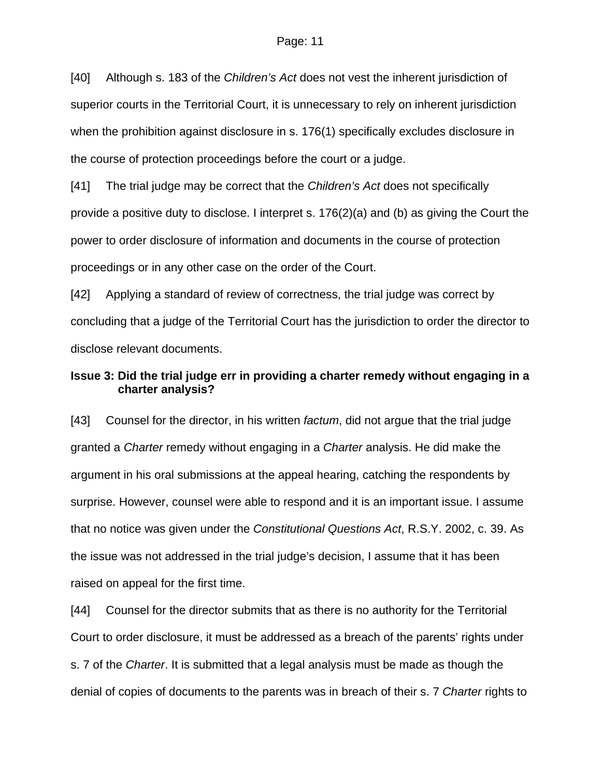[40] Although s. 183 of the *Children's Act* does not vest the inherent jurisdiction of superior courts in the Territorial Court, it is unnecessary to rely on inherent jurisdiction when the prohibition against disclosure in s. 176(1) specifically excludes disclosure in the course of protection proceedings before the court or a judge.

[41] The trial judge may be correct that the *Children's Act* does not specifically provide a positive duty to disclose. I interpret s.  $176(2)(a)$  and (b) as giving the Court the power to order disclosure of information and documents in the course of protection proceedings or in any other case on the order of the Court.

[42] Applying a standard of review of correctness, the trial judge was correct by concluding that a judge of the Territorial Court has the jurisdiction to order the director to disclose relevant documents.

## **Issue 3: Did the trial judge err in providing a charter remedy without engaging in a charter analysis?**

[43] Counsel for the director, in his written *factum*, did not argue that the trial judge granted a *Charter* remedy without engaging in a *Charter* analysis. He did make the argument in his oral submissions at the appeal hearing, catching the respondents by surprise. However, counsel were able to respond and it is an important issue. I assume that no notice was given under the *Constitutional Questions Act*, R.S.Y. 2002, c. 39. As the issue was not addressed in the trial judge's decision, I assume that it has been raised on appeal for the first time.

[44] Counsel for the director submits that as there is no authority for the Territorial Court to order disclosure, it must be addressed as a breach of the parents' rights under s. 7 of the *Charter*. It is submitted that a legal analysis must be made as though the denial of copies of documents to the parents was in breach of their s. 7 *Charter* rights to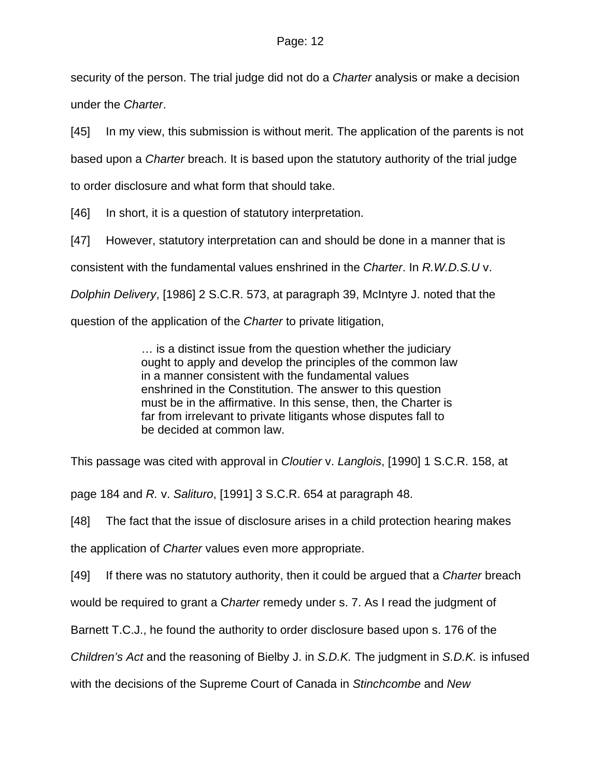security of the person. The trial judge did not do a *Charter* analysis or make a decision under the *Charter*.

[45] In my view, this submission is without merit. The application of the parents is not based upon a *Charter* breach. It is based upon the statutory authority of the trial judge to order disclosure and what form that should take.

[46] In short, it is a question of statutory interpretation.

[47] However, statutory interpretation can and should be done in a manner that is

consistent with the fundamental values enshrined in the *Charter*. In *R.W.D.S.U* v.

*Dolphin Delivery*, [1986] 2 S.C.R. 573, at paragraph 39, McIntyre J. noted that the

question of the application of the *Charter* to private litigation,

… is a distinct issue from the question whether the judiciary ought to apply and develop the principles of the common law in a manner consistent with the fundamental values enshrined in the Constitution. The answer to this question must be in the affirmative. In this sense, then, the Charter is far from irrelevant to private litigants whose disputes fall to be decided at common law.

This passage was cited with approval in *Cloutier* v. *Langlois*, [1990] 1 S.C.R. 158, at

page 184 and *R.* v. *Salituro*, [1991] 3 S.C.R. 654 at paragraph 48.

[48] The fact that the issue of disclosure arises in a child protection hearing makes

the application of *Charter* values even more appropriate.

[49] If there was no statutory authority, then it could be argued that a *Charter* breach

would be required to grant a C*harter* remedy under s. 7. As I read the judgment of

Barnett T.C.J., he found the authority to order disclosure based upon s. 176 of the

*Children's Act* and the reasoning of Bielby J. in *S.D.K.* The judgment in *S.D.K.* is infused

with the decisions of the Supreme Court of Canada in *Stinchcombe* and *New*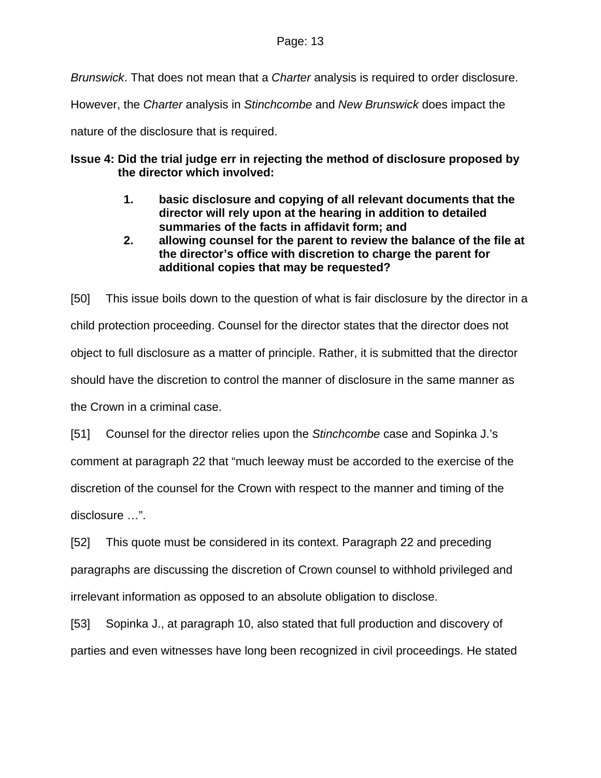*Brunswick*. That does not mean that a *Charter* analysis is required to order disclosure.

However, the *Charter* analysis in *Stinchcombe* and *New Brunswick* does impact the

nature of the disclosure that is required.

# **Issue 4: Did the trial judge err in rejecting the method of disclosure proposed by the director which involved:**

- **1. basic disclosure and copying of all relevant documents that the director will rely upon at the hearing in addition to detailed summaries of the facts in affidavit form; and**
- **2. allowing counsel for the parent to review the balance of the file at the director's office with discretion to charge the parent for additional copies that may be requested?**

[50] This issue boils down to the question of what is fair disclosure by the director in a child protection proceeding. Counsel for the director states that the director does not object to full disclosure as a matter of principle. Rather, it is submitted that the director should have the discretion to control the manner of disclosure in the same manner as the Crown in a criminal case.

[51] Counsel for the director relies upon the *Stinchcombe* case and Sopinka J.'s comment at paragraph 22 that "much leeway must be accorded to the exercise of the discretion of the counsel for the Crown with respect to the manner and timing of the disclosure …".

[52] This quote must be considered in its context. Paragraph 22 and preceding paragraphs are discussing the discretion of Crown counsel to withhold privileged and irrelevant information as opposed to an absolute obligation to disclose.

[53] Sopinka J., at paragraph 10, also stated that full production and discovery of parties and even witnesses have long been recognized in civil proceedings. He stated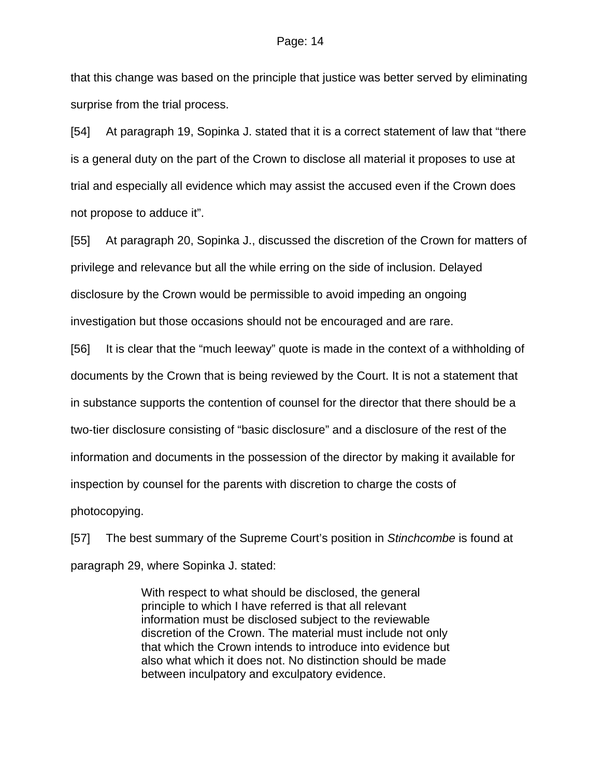that this change was based on the principle that justice was better served by eliminating surprise from the trial process.

[54] At paragraph 19, Sopinka J. stated that it is a correct statement of law that "there is a general duty on the part of the Crown to disclose all material it proposes to use at trial and especially all evidence which may assist the accused even if the Crown does not propose to adduce it".

[55] At paragraph 20, Sopinka J., discussed the discretion of the Crown for matters of privilege and relevance but all the while erring on the side of inclusion. Delayed disclosure by the Crown would be permissible to avoid impeding an ongoing investigation but those occasions should not be encouraged and are rare.

[56] It is clear that the "much leeway" quote is made in the context of a withholding of documents by the Crown that is being reviewed by the Court. It is not a statement that in substance supports the contention of counsel for the director that there should be a two-tier disclosure consisting of "basic disclosure" and a disclosure of the rest of the information and documents in the possession of the director by making it available for inspection by counsel for the parents with discretion to charge the costs of photocopying.

[57] The best summary of the Supreme Court's position in *Stinchcombe* is found at paragraph 29, where Sopinka J. stated:

> With respect to what should be disclosed, the general principle to which I have referred is that all relevant information must be disclosed subject to the reviewable discretion of the Crown. The material must include not only that which the Crown intends to introduce into evidence but also what which it does not. No distinction should be made between inculpatory and exculpatory evidence.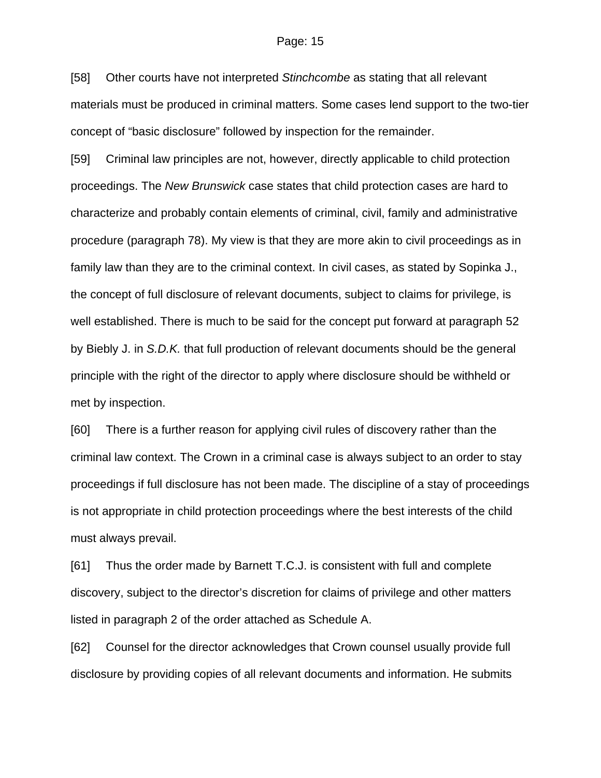[58] Other courts have not interpreted *Stinchcombe* as stating that all relevant materials must be produced in criminal matters. Some cases lend support to the two-tier concept of "basic disclosure" followed by inspection for the remainder.

[59] Criminal law principles are not, however, directly applicable to child protection proceedings. The *New Brunswick* case states that child protection cases are hard to characterize and probably contain elements of criminal, civil, family and administrative procedure (paragraph 78). My view is that they are more akin to civil proceedings as in family law than they are to the criminal context. In civil cases, as stated by Sopinka J., the concept of full disclosure of relevant documents, subject to claims for privilege, is well established. There is much to be said for the concept put forward at paragraph 52 by Biebly J. in *S.D.K.* that full production of relevant documents should be the general principle with the right of the director to apply where disclosure should be withheld or met by inspection.

[60] There is a further reason for applying civil rules of discovery rather than the criminal law context. The Crown in a criminal case is always subject to an order to stay proceedings if full disclosure has not been made. The discipline of a stay of proceedings is not appropriate in child protection proceedings where the best interests of the child must always prevail.

[61] Thus the order made by Barnett T.C.J. is consistent with full and complete discovery, subject to the director's discretion for claims of privilege and other matters listed in paragraph 2 of the order attached as Schedule A.

[62] Counsel for the director acknowledges that Crown counsel usually provide full disclosure by providing copies of all relevant documents and information. He submits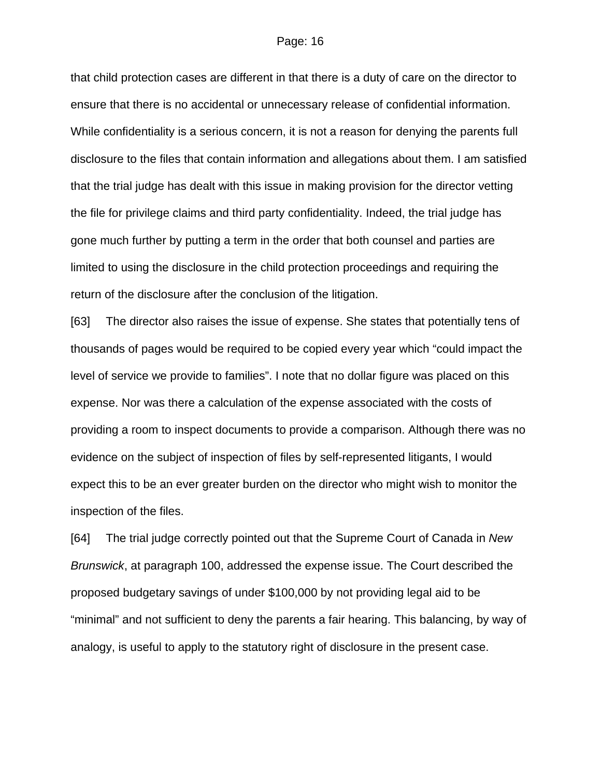that child protection cases are different in that there is a duty of care on the director to ensure that there is no accidental or unnecessary release of confidential information. While confidentiality is a serious concern, it is not a reason for denying the parents full disclosure to the files that contain information and allegations about them. I am satisfied that the trial judge has dealt with this issue in making provision for the director vetting the file for privilege claims and third party confidentiality. Indeed, the trial judge has gone much further by putting a term in the order that both counsel and parties are limited to using the disclosure in the child protection proceedings and requiring the return of the disclosure after the conclusion of the litigation.

[63] The director also raises the issue of expense. She states that potentially tens of thousands of pages would be required to be copied every year which "could impact the level of service we provide to families". I note that no dollar figure was placed on this expense. Nor was there a calculation of the expense associated with the costs of providing a room to inspect documents to provide a comparison. Although there was no evidence on the subject of inspection of files by self-represented litigants, I would expect this to be an ever greater burden on the director who might wish to monitor the inspection of the files.

[64] The trial judge correctly pointed out that the Supreme Court of Canada in *New Brunswick*, at paragraph 100, addressed the expense issue. The Court described the proposed budgetary savings of under \$100,000 by not providing legal aid to be "minimal" and not sufficient to deny the parents a fair hearing. This balancing, by way of analogy, is useful to apply to the statutory right of disclosure in the present case.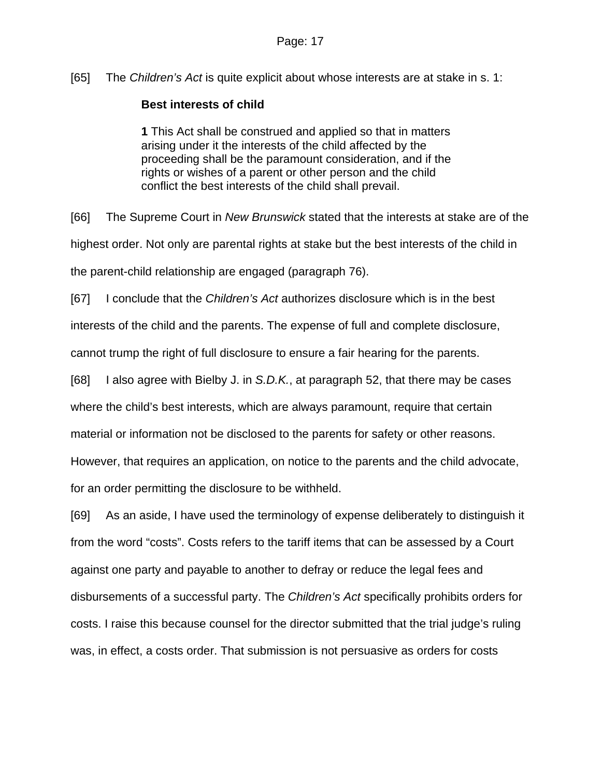[65] The *Children's Act* is quite explicit about whose interests are at stake in s. 1:

# **Best interests of child**

**1** This Act shall be construed and applied so that in matters arising under it the interests of the child affected by the proceeding shall be the paramount consideration, and if the rights or wishes of a parent or other person and the child conflict the best interests of the child shall prevail.

[66] The Supreme Court in *New Brunswick* stated that the interests at stake are of the highest order. Not only are parental rights at stake but the best interests of the child in the parent-child relationship are engaged (paragraph 76).

[67] I conclude that the *Children's Act* authorizes disclosure which is in the best

interests of the child and the parents. The expense of full and complete disclosure,

cannot trump the right of full disclosure to ensure a fair hearing for the parents.

[68] I also agree with Bielby J. in *S.D.K.*, at paragraph 52, that there may be cases

where the child's best interests, which are always paramount, require that certain

material or information not be disclosed to the parents for safety or other reasons.

However, that requires an application, on notice to the parents and the child advocate,

for an order permitting the disclosure to be withheld.

[69] As an aside, I have used the terminology of expense deliberately to distinguish it from the word "costs". Costs refers to the tariff items that can be assessed by a Court against one party and payable to another to defray or reduce the legal fees and disbursements of a successful party. The *Children's Act* specifically prohibits orders for costs. I raise this because counsel for the director submitted that the trial judge's ruling was, in effect, a costs order. That submission is not persuasive as orders for costs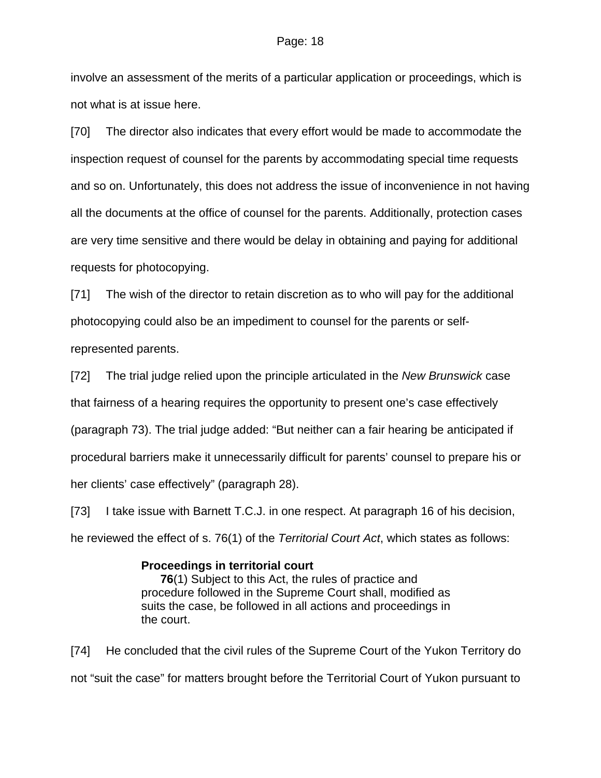involve an assessment of the merits of a particular application or proceedings, which is not what is at issue here.

[70] The director also indicates that every effort would be made to accommodate the inspection request of counsel for the parents by accommodating special time requests and so on. Unfortunately, this does not address the issue of inconvenience in not having all the documents at the office of counsel for the parents. Additionally, protection cases are very time sensitive and there would be delay in obtaining and paying for additional requests for photocopying.

[71] The wish of the director to retain discretion as to who will pay for the additional photocopying could also be an impediment to counsel for the parents or selfrepresented parents.

[72] The trial judge relied upon the principle articulated in the *New Brunswick* case that fairness of a hearing requires the opportunity to present one's case effectively (paragraph 73). The trial judge added: "But neither can a fair hearing be anticipated if procedural barriers make it unnecessarily difficult for parents' counsel to prepare his or her clients' case effectively" (paragraph 28).

[73] I take issue with Barnett T.C.J. in one respect. At paragraph 16 of his decision, he reviewed the effect of s. 76(1) of the *Territorial Court Act*, which states as follows:

### **Proceedings in territorial court**

**76**(1) Subject to this Act, the rules of practice and procedure followed in the Supreme Court shall, modified as suits the case, be followed in all actions and proceedings in the court.

[74] He concluded that the civil rules of the Supreme Court of the Yukon Territory do not "suit the case" for matters brought before the Territorial Court of Yukon pursuant to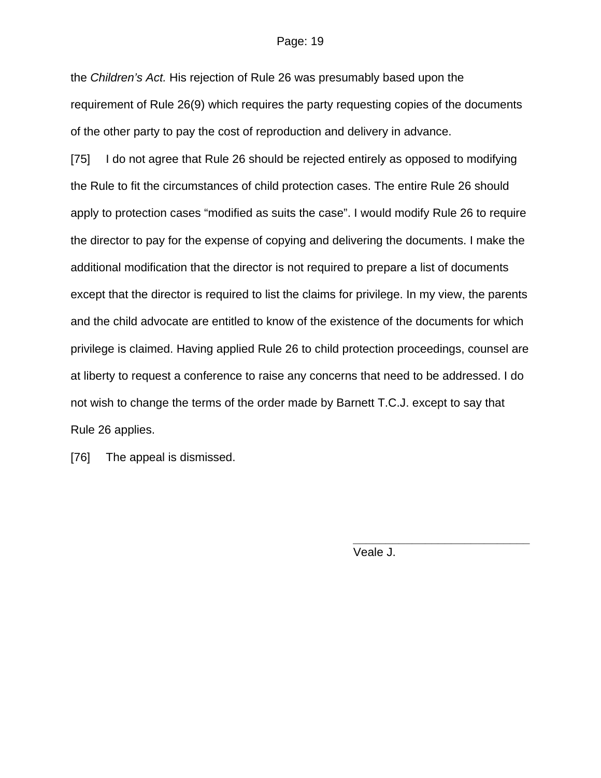the *Children's Act.* His rejection of Rule 26 was presumably based upon the requirement of Rule 26(9) which requires the party requesting copies of the documents of the other party to pay the cost of reproduction and delivery in advance.

[75] I do not agree that Rule 26 should be rejected entirely as opposed to modifying the Rule to fit the circumstances of child protection cases. The entire Rule 26 should apply to protection cases "modified as suits the case". I would modify Rule 26 to require the director to pay for the expense of copying and delivering the documents. I make the additional modification that the director is not required to prepare a list of documents except that the director is required to list the claims for privilege. In my view, the parents and the child advocate are entitled to know of the existence of the documents for which privilege is claimed. Having applied Rule 26 to child protection proceedings, counsel are at liberty to request a conference to raise any concerns that need to be addressed. I do not wish to change the terms of the order made by Barnett T.C.J. except to say that Rule 26 applies.

[76] The appeal is dismissed.

Veale J.

**\_\_\_\_\_\_\_\_\_\_\_\_\_\_\_\_\_\_\_\_\_\_\_\_\_\_\_**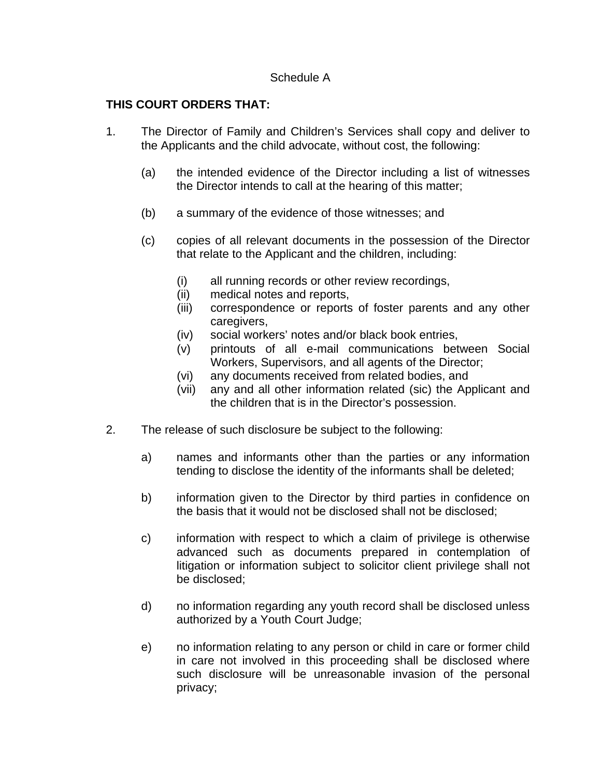### Schedule A

## **THIS COURT ORDERS THAT:**

- 1. The Director of Family and Children's Services shall copy and deliver to the Applicants and the child advocate, without cost, the following:
	- (a) the intended evidence of the Director including a list of witnesses the Director intends to call at the hearing of this matter;
	- (b) a summary of the evidence of those witnesses; and
	- (c) copies of all relevant documents in the possession of the Director that relate to the Applicant and the children, including:
		- (i) all running records or other review recordings,
		- (ii) medical notes and reports,
		- (iii) correspondence or reports of foster parents and any other caregivers,
		- (iv) social workers' notes and/or black book entries,
		- (v) printouts of all e-mail communications between Social Workers, Supervisors, and all agents of the Director;
		- (vi) any documents received from related bodies, and
		- (vii) any and all other information related (sic) the Applicant and the children that is in the Director's possession.
- 2. The release of such disclosure be subject to the following:
	- a) names and informants other than the parties or any information tending to disclose the identity of the informants shall be deleted;
	- b) information given to the Director by third parties in confidence on the basis that it would not be disclosed shall not be disclosed;
	- c) information with respect to which a claim of privilege is otherwise advanced such as documents prepared in contemplation of litigation or information subject to solicitor client privilege shall not be disclosed;
	- d) no information regarding any youth record shall be disclosed unless authorized by a Youth Court Judge;
	- e) no information relating to any person or child in care or former child in care not involved in this proceeding shall be disclosed where such disclosure will be unreasonable invasion of the personal privacy;